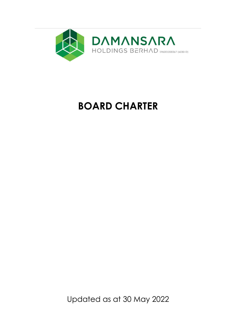

# **BOARD CHARTER**

Updated as at 30 May 2022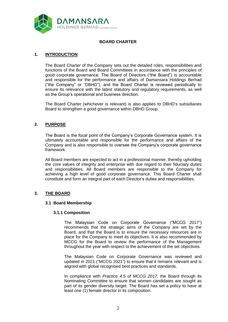

# **BOARD CHARTER**

# **1. INTRODUCTION**

The Board Charter of the Company sets out the detailed roles, responsibilities and functions of the Board and Board Committees in accordance with the principles of good corporate governance. The Board of Directors ("the Board") is accountable and responsible for the performance and affairs of Damansara Holdings Berhad ("the Company" or "DBHD"), and the Board Charter is reviewed periodically to ensure its relevance with the latest statutory and regulatory requirements, as well as the Group's operational and business direction.

The Board Charter (whichever is relevant) is also applies to DBHD's subsidiaries Board to strengthen a good governance within DBHD Group.

## **2. PURPOSE**

The Board is the focal point of the Company's Corporate Governance system. It is ultimately accountable and responsible for the performance and affairs of the Company and is also responsible to oversee the Company's corporate governance framework.

All Board members are expected to act in a professional manner, thereby upholding the core values of integrity and enterprise with due regard to their fiduciary duties and responsibilities. All Board members are responsible to the Company for achieving a high level of good corporate governance. This Board Charter shall constitute and form an integral part of each Director's duties and responsibilities.

#### **3. THE BOARD**

#### **3.1 Board Membership**

#### **3.1.1 Composition**

The Malaysian Code on Corporate Governance ("MCCG 2017") recommends that the strategic aims of the Company are set by the Board, and that the Board is to ensure the necessary resources are in place for the Company to meet its objectives. It is also recommended by MCCG for the Board to review the performance of the Management throughout the year with respect to the achievement of the set objectives.

The Malaysian Code on Corporate Governance was reviewed and updated in 2021 ("MCCG 2021") to ensure that it remains relevant and is aligned with global recognised best practices and standards.

In compliance with *Practice 4.5 of MCCG 2017,* the Board through its Nominating Committee to ensure that women candidates are sought as part of its gender diversity target. The Board has set a policy to have at least one (1) female director in its composition.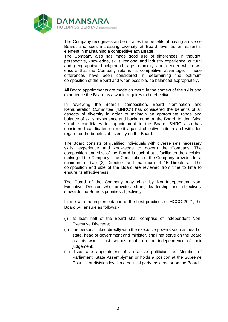

The Company recognizes and embraces the benefits of having a diverse Board, and sees increasing diversity at Board level as an essential element in maintaining a competitive advantage.

The Company also has made good use of differences in thought, perspective, knowledge, skills, regional and industry experience, cultural and geographical background, age, ethnicity and gender which will ensure that the Company retains its competitive advantage. These differences have been considered in determining the optimum composition of the Board and when possible, be balanced appropriately.

All Board appointments are made on merit, in the context of the skills and experience the Board as a whole requires to be effective.

In reviewing the Board's composition, Board Nomination and Remuneration Committee ("BNRC") has considered the benefits of all aspects of diversity in order to maintain an appropriate range and balance of skills, experience and background on the Board. In identifying suitable candidates for appointment to the Board, BNRC also has considered candidates on merit against objective criteria and with due regard for the benefits of diversity on the Board.

The Board consists of qualified individuals with diverse sets necessary skills, experience and knowledge to govern the Company. The composition and size of the Board is such that it facilitates the decision making of the Company. The Constitution of the Company provides for a minimum of two (2) Directors and maximum of 15 Directors. The composition and size of the Board are reviewed from time to time to ensure its effectiveness.

The Board of the Company may chair by Non-Independent Non-Executive Director who provides strong leadership and objectively stewards the Board's priorities objectively.

In line with the implementation of the best practices of MCCG 2021, the Board will ensure as follows:-

- (i) at least half of the Board shall comprise of Independent Non-Executive Directors;
- (ii) the persons linked directly with the executive powers such as head of state, head of government and minister, shall not serve on the Board as this would cast serious doubt on the independence of their judgement;
- (iii) discourage appointment of an active politician i.e. Member of Parliament, State Assemblyman or holds a position at the Supreme Council, or division level in a political party, as director on the Board.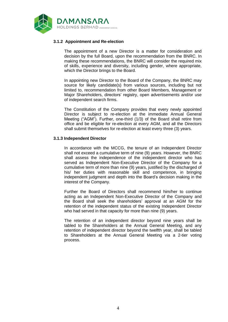

# **3.1.2 Appointment and Re-election**

The appointment of a new Director is a matter for consideration and decision by the full Board, upon the recommendation from the BNRC. In making these recommendations, the BNRC will consider the required mix of skills, experience and diversity, including gender, where appropriate, which the Director brings to the Board.

In appointing new Director to the Board of the Company, the BNRC may source for likely candidate(s) from various sources, including but not limited to, recommendation from other Board Members, Management or Major Shareholders, directors' registry, open advertisements and/or use of independent search firms.

The Constitution of the Company provides that every newly appointed Director is subject to re-election at the immediate Annual General Meeting ("AGM"). Further, one-third (1/3) of the Board shall retire from office and be eligible for re-election at every AGM, and all the Directors shall submit themselves for re-election at least every three (3) years.

#### **3.1.3 Independent Director**

In accordance with the MCCG, the tenure of an Independent Director shall not exceed a cumulative term of nine (9) years. However, the BNRC shall assess the independence of the independent director who has served as Independent Non-Executive Director of the Company for a cumulative term of more than nine (9) years, justified by the discharged of his/ her duties with reasonable skill and competence, in bringing independent judgment and depth into the Board's decision making in the interest of the Company.

Further the Board of Directors shall recommend him/her to continue acting as an Independent Non-Executive Director of the Company and the Board shall seek the shareholders' approval at an AGM for the retention of the independent status of the existing Independent Director who had served in that capacity for more than nine (9) years.

The retention of an independent director beyond nine years shall be tabled to the Shareholders at the Annual General Meeting, and any retention of independent director beyond the twelfth year, shall be tabled to Shareholders at the Annual General Meeting via a 2-tier voting process.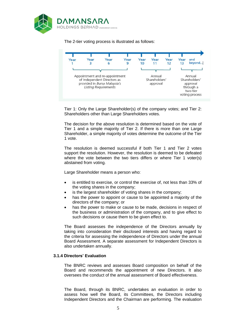

The 2-tier voting process is illustrated as follows:



Tier 1: Only the Large Shareholder(s) of the company votes; and Tier 2: Shareholders other than Large Shareholders votes.

The decision for the above resolution is determined based on the vote of Tier 1 and a simple majority of Tier 2. If there is more than one Large Shareholder, a simple majority of votes determine the outcome of the Tier 1 vote.

The resolution is deemed successful if both Tier 1 and Tier 2 votes support the resolution. However, the resolution is deemed to be defeated where the vote between the two tiers differs or where Tier 1 voter(s) abstained from voting.

Large Shareholder means a person who:

- is entitled to exercise, or control the exercise of, not less than 33% of the voting shares in the company;
- is the largest shareholder of voting shares in the company;
- has the power to appoint or cause to be appointed a majority of the directors of the company; or
- has the power to make or cause to be made, decisions in respect of the business or administration of the company, and to give effect to such decisions or cause them to be given effect to.

The Board assesses the independence of the Directors annually by taking into consideration their disclosed interests and having regard to the criteria for assessing the independence of Directors under the annual Board Assessment. A separate assessment for Independent Directors is also undertaken annually.

#### **3.1.4 Directors' Evaluation**

The BNRC reviews and assesses Board composition on behalf of the Board and recommends the appointment of new Directors. It also oversees the conduct of the annual assessment of Board effectiveness.

The Board, through its BNRC, undertakes an evaluation in order to assess how well the Board, its Committees, the Directors including Independent Directors and the Chairman are performing. The evaluation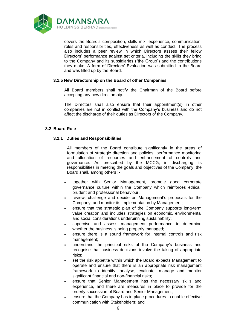

covers the Board's composition, skills mix, experience, communication, roles and responsibilities, effectiveness as well as conduct. The process also includes a peer review in which Directors assess their fellow Directors' performance against set criteria, including the skills they bring to the Company and its subsidiaries ("the Group") and the contributions they make. A form of Directors' Evaluation was submitted to the Board and was filled up by the Board.

#### **3.1.5 New Directorship on the Board of other Companies**

All Board members shall notify the Chairman of the Board before accepting any new directorship.

The Directors shall also ensure that their appointment(s) in other companies are not in conflict with the Company's business and do not affect the discharge of their duties as Directors of the Company.

# **3.2 Board Role**

# **3.2.1 Duties and Responsibilities**

All members of the Board contribute significantly in the areas of formulation of strategic direction and policies, performance monitoring and allocation of resources and enhancement of controls and governance. As prescribed by the MCCG, in discharging its responsibilities in meeting the goals and objectives of the Company, the Board shall, among others :-

- together with Senior Management, promote good corporate governance culture within the Company which reinforces ethical, prudent and professional behaviour;
- review, challenge and decide on Management's proposals for the Company, and monitor its implementation by Management;
- ensure that the strategic plan of the Company supports long-term value creation and includes strategies on economic, environmental and social considerations underpinning sustainability;
- supervise and assess management performance to determine whether the business is being properly managed;
- ensure there is a sound framework for internal controls and risk management;
- understand the principal risks of the Company's business and recognise that business decisions involve the taking of appropriate risks;
- set the risk appetite within which the Board expects Management to operate and ensure that there is an appropriate risk management framework to identify, analyse, evaluate, manage and monitor significant financial and non-financial risks;
- ensure that Senior Management has the necessary skills and experience, and there are measures in place to provide for the orderly succession of Board and Senior Management;
- ensure that the Company has in place procedures to enable effective communication with Stakeholders; and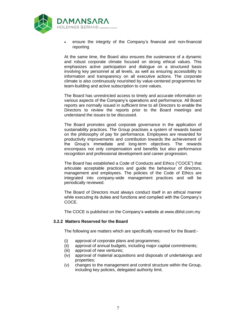

• ensure the integrity of the Company's financial and non-financial reporting

At the same time, the Board also ensures the sustenance of a dynamic and robust corporate climate focused on strong ethical values. This emphasizes active participation and dialogue on a structured basis involving key personnel at all levels, as well as ensuring accessibility to information and transparency on all executive actions. The corporate climate is also continuously nourished by value-centered programmes for team-building and active subscription to core values.

The Board has unrestricted access to timely and accurate information on various aspects of the Company's operations and performance. All Board reports are normally issued in sufficient time to all Directors to enable the Directors to review the reports prior to the Board meetings and understand the issues to be discussed.

The Board promotes good corporate governance in the application of sustainability practices. The Group practises a system of rewards based on the philosophy of pay for performance. Employees are rewarded for productivity improvements and contribution towards the achievement of the Group's immediate and long-term objectives. The rewards encompass not only compensation and benefits but also performance recognition and professional development and career progression.

The Board has established a Code of Conducts and Ethics ("COCE") that articulate acceptable practices and guide the behaviour of directors, management and employees. The policies of the Code of Ethics are integrated into company-wide management practices and will be periodically reviewed.

The Board of Directors must always conduct itself in an ethical manner while executing its duties and functions and complied with the Company's COCE.

The COCE is published on the Company's website at www.dbhd.com.my

#### **3.2.2 Matters Reserved for the Board**

The following are matters which are specifically reserved for the Board:-

- (i) approval of corporate plans and programmes;
- (ii) approval of annual budgets, including major capital commitments;
- (iii) approval of new ventures;
- (iv) approval of material acquisitions and disposals of undertakings and properties;
- (v) changes to the management and control structure within the Group, including key policies, delegated authority limit.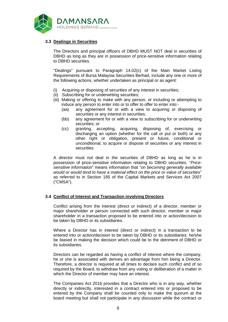

# **3.3 Dealings in Securities**

The Directors and principal officers of DBHD MUST NOT deal in securities of DBHD as long as they are in possession of price-sensitive information relating to DBHD securities.

"Dealings" pursuant to Paragraph 14.02(c) of the Main Market Listing Requirements of Bursa Malaysia Securities Berhad, include any one or more of the following actions, whether undertaken as principal or as agent:

- (i) Acquiring or disposing of securities of any interest in securities;
- (ii) Subscribing for or underwriting securities;
- (iii) Making or offering to make with any person, or including or attempting to induce any person to enter into or to offer to offer to enter into:-
	- (aa) any agreement for or with a view to acquiring or disposing of securities or any interest in securities;
	- (bb) any agreement for or with a view to subscribing for or underwriting securities; or
	- (cc) granting, accepting, acquiring, disposing of, exercising or discharging an option (whether for the call or put or both) or any other right or obligation, present or future, conditional or unconditional, to acquire or dispose of securities or any interest in securities.

A director must not deal in the securities of DBHD as long as he is in possession of price-sensitive information relating to DBHD securities. "*Pricesensitive information*" means information that "*on becoming generally available would or would tend to have a material effect on the price or value of securities*" as referred to in Section 185 of the Capital Markets and Services Act 2007 ("CMSA").

#### **3.4 Conflict of Interest and Transaction involving Directors**

Conflict arising from the interest (direct or indirect) of a director, member or major shareholder or person connected with such director, member or major shareholder in a transaction proposed to be entered into or action/decision to be taken by DBHD or its subsidiaries.

Where a Director has in interest (direct or indirect) in a transaction to be entered into or action/decision to be taken by DBHD or its subsidiaries, he/she be biased in making the decision which could be to the detriment of DBHD or its subsidiaries.

Directors can be regarded as having a conflict of interest where the company, he or she is associated with derives an advantage from him being a Director. Therefore, a director is required at all times to declare such conflict and of so required by the Board, to withdraw from any voting or deliberation of a matter in which the Director of member may have an interest.

The Companies Act 2016 provides that a Director who is in any way, whether directly or indirectly, interested in a contract entered into or proposed to be entered by the Company shall be counted only to make the quorum at the board meeting but shall not participate in any discussion while the contract or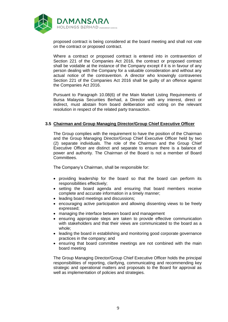

proposed contract is being considered at the board meeting and shall not vote on the contract or proposed contract.

Where a contract or proposed contract is entered into in contravention of Section 221 of the Companies Act 2016, the contract or proposed contract shall be voidable at the instance of the Company except if it is in favour of any person dealing with the Company for a valuable consideration and without any actual notice of the contravention. A director who knowingly contravenes Section 221 of the Companies Act 2016 shall be guilty of an offence against the Companies Act 2016.

Pursuant to Paragraph 10.08(6) of the Main Market Listing Requirements of Bursa Malaysia Securities Berhad, a Director with any interest, direct or indirect, must abstain from board deliberation and voting on the relevant resolution in respect of the related party transaction.

#### **3.5 Chairman and Group Managing Director/Group Chief Executive Officer**

The Group complies with the requirement to have the position of the Chairman and the Group Managing Director/Group Chief Executive Officer held by two (2) separate individuals. The role of the Chairman and the Group Chief Executive Officer are distinct and separate to ensure there is a balance of power and authority. The Chairman of the Board is not a member of Board Committees.

The Company's Chairman, shall be responsible for:

- providing leadership for the board so that the board can perform its responsibilities effectively;
- setting the board agenda and ensuring that board members receive complete and accurate information in a timely manner;
- leading board meetings and discussions;
- encouraging active participation and allowing dissenting views to be freely expressed;
- managing the interface between board and management
- ensuring appropriate steps are taken to provide effective communication with stakeholders and that their views are communicated to the board as a whole;
- leading the board in establishing and monitoring good corporate governance practices in the company; and
- ensuring that board committee meetings are not combined with the main board meeting

The Group Managing Director/Group Chief Executive Officer holds the principal responsibilities of reporting, clarifying, communicating and recommending key strategic and operational matters and proposals to the Board for approval as well as implementation of policies and strategies.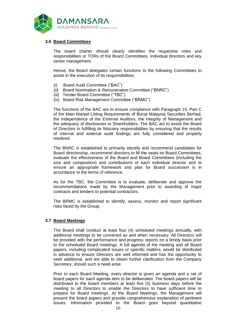

# **3.6 Board Committees**

The board charter should clearly identifies the respective roles and responsibilities or TORs of the Board Committees, individual directors and key senior management.

Hence, the Board delegates certain functions to the following Committees to assist in the execution of its responsibilities:

- (i) Board Audit Committee ("BAC")
- (ii) Board Nomination & Remuneration Committee ("BNRC")
- (iii) Tender Board Committee ("TBC")
- (iv) Board Risk Management Committee ("BRMC")

The functions of the BAC are to ensure compliance with Paragraph 15, Part C of the Main Market Listing Requirements of Bursa Malaysia Securities Berhad, the independence of the External Auditors, the integrity of Management and the adequacy of disclosures to Shareholders. The BAC act to assist the Board of Directors in fulfilling its fiduciary responsibilities by ensuring that the results of internal and external audit findings are fully considered and properly resolved.

The BNRC is established to primarily identify and recommend candidates for Board directorship, recommend directors to fill the seats on Board Committees, evaluate the effectiveness of the Board and Board Committees (including the size and composition) and contributions of each individual director and to ensure an appropriate framework and plan for Board succession is in accordance to the terms of reference.

As for the TBC, the Committee is to evaluate, deliberate and approve the recommendations made by the Management prior to awarding of major contracts and tenders to potential contractors.

The BRMC is established to identify, assess, monitor and report significant risks faced by the Group.

#### **3.7 Board Meetings**

The Board shall conduct at least four (4) scheduled meetings annually, with additional meetings to be convened as and when necessary. All Directors will be provided with the performance and progress reports on a timely basis prior to the scheduled Board meetings. A full agenda of the meeting and all Board papers, including complicated issues or specific matters, would be distributed in advance to ensure Directors are well informed and has the opportunity to seek additional, and are able to obtain further clarification from the Company Secretary, should such a need arise.

Prior to each Board Meeting, every director is given an agenda and a set of board papers for each agenda item to be deliberated. The board papers will be distributed to the board members at least five (5) business days before the meeting to all Directors to enable the Directors to have sufficient time to prepare for Board meetings. At the Board Meetings, the Management will present the board papers and provide comprehensive explanation of pertinent issues. Information provided to the Board goes beyond quantitative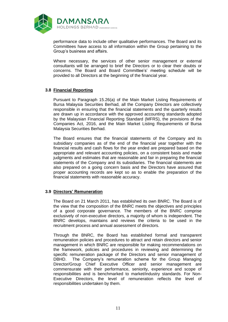

performance data to include other qualitative performances. The Board and its Committees have access to all information within the Group pertaining to the Group's business and affairs.

Where necessary, the services of other senior management or external consultants will be arranged to brief the Directors or to clear their doubts or concerns. The Board and Board Committee's' meeting schedule will be provided to all Directors at the beginning of the financial year.

## **3.8 Financial Reporting**

Pursuant to Paragraph 15.26(a) of the Main Market Listing Requirements of Bursa Malaysia Securities Berhad, all the Company Directors are collectively responsible in ensuring that the financial statements and the quarterly results are drawn up in accordance with the approved accounting standards adopted by the Malaysian Financial Reporting Standard (MFRS), the provisions of the Companies Act, 2016, and the Main Market Listing Requirements of Bursa Malaysia Securities Berhad.

The Board ensures that the financial statements of the Company and its subsidiary companies as of the end of the financial year together with the financial results and cash flows for the year ended are prepared based on the appropriate and relevant accounting policies, on a consistent basis and made judgments and estimates that are reasonable and fair in preparing the financial statements of the Company and its subsidiaries. The financial statements are also prepared on a going concern basis and the Directors have assured that proper accounting records are kept so as to enable the preparation of the financial statements with reasonable accuracy.

#### **3.9 Directors' Remuneration**

The Board on 21 March 2011, has established its own BNRC. The Board is of the view that the composition of the BNRC meets the objectives and principles of a good corporate governance. The members of the BNRC comprise exclusively of non-executive directors, a majority of whom is independent. The BNRC develops, maintains and reviews the criteria to be used in the recruitment process and annual assessment of directors.

Through the BNRC, the Board has established formal and transparent remuneration policies and procedures to attract and retain directors and senior management in which BNRC are responsible for making recommendations on the framework, policies and procedures in reviewing and determining the specific remuneration package of the Directors and senior management of DBHD. The Company's remuneration scheme for the Group Managing Director/Group Chief Executive Officer and senior management are commensurate with their performance, seniority, experience and scope of responsibilities and is benchmarked to market/industry standards. For Non-Executive Directors, the level of remuneration reflects the level of responsibilities undertaken by them.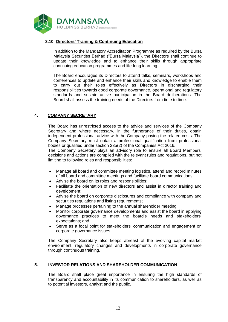

# **3.10 Directors' Training & Continuing Education**

In addition to the Mandatory Accreditation Programme as required by the Bursa Malaysia Securities Berhad ("Bursa Malaysia"), the Directors shall continue to update their knowledge and to enhance their skills through appropriate continuing education programmes and life-long learning.

The Board encourages its Directors to attend talks, seminars, workshops and conferences to update and enhance their skills and knowledge to enable them to carry out their roles effectively as Directors in discharging their responsibilities towards good corporate governance, operational and regulatory standards and sustain active participation in the Board deliberations. The Board shall assess the training needs of the Directors from time to time.

# **4. COMPANY SECRETARY**

The Board has unrestricted access to the advice and services of the Company Secretary and where necessary, in the furtherance of their duties, obtain independent professional advice with the Company paying the related costs. The Company Secretary must obtain a professional qualification from professional bodies or qualified under section 235(2) of the Companies Act 2016.

The Company Secretary plays an advisory role to ensure all Board Members' decisions and actions are complied with the relevant rules and regulations, but not limiting to following roles and responsibilities:

- Manage all board and committee meeting logistics, attend and record minutes of all board and committee meetings and facilitate board communications;
- Advise the board on its roles and responsibilities;
- Facilitate the orientation of new directors and assist in director training and development;
- Advise the board on corporate disclosures and compliance with company and securities regulations and listing requirements;
- Manage processes pertaining to the annual shareholder meeting;
- Monitor corporate governance developments and assist the board in applying governance practices to meet the board's needs and stakeholders' expectations; and
- Serve as a focal point for stakeholders' communication and engagement on corporate governance issues.

The Company Secretary also keeps abreast of the evolving capital market environment, regulatory changes and developments in corporate governance through continuous training.

#### **5. INVESTOR RELATIONS AND SHAREHOLDER COMMUNICATION**

The Board shall place great importance in ensuring the high standards of transparency and accountability in its communication to shareholders, as well as to potential investors, analyst and the public.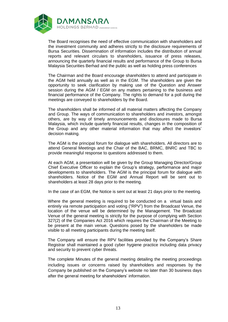

The Board recognises the need of effective communication with shareholders and the investment community and adheres strictly to the disclosure requirements of Bursa Securities. Dissemination of information includes the distribution of annual reports and relevant circulars to shareholders, issuance of press releases, announcing the quarterly financial results and performance of the Group to Bursa Malaysia Securities Berhad and the public as well as holding press conferences

The Chairman and the Board encourage shareholders to attend and participate in the AGM held annually as well as in the EGM. The shareholders are given the opportunity to seek clarification by making use of the Question and Answer session during the AGM / EGM on any matters pertaining to the business and financial performance of the Company. The rights to demand for a poll during the meetings are conveyed to shareholders by the Board.

The shareholders shall be informed of all material matters affecting the Company and Group. The ways of communication to shareholders and investors, amongst others, are by way of timely announcements and disclosures made to Bursa Malaysia, which include quarterly financial results, changes in the composition of the Group and any other material information that may affect the investors' decision making.

The AGM is the principal forum for dialogue with shareholders. All directors are to attend General Meetings and the Chair of the BAC, BRMC, BNRC and TBC to provide meaningful response to questions addressed to them.

At each AGM, a presentation will be given by the Group Managing Director/Group Chief Executive Officer to explain the Group's strategy, performance and major developments to shareholders. The AGM is the principal forum for dialogue with shareholders. Notice of the EGM and Annual Report will be sent out to shareholders at least 28 days prior to the meeting.

In the case of an EGM, the Notice is sent out at least 21 days prior to the meeting.

Where the general meeting is required to be conducted on a virtual basis and entirely via remote participation and voting ("RPV") from the Broadcast Venue, the location of the venue will be determined by the Management. The Broadcast Venue of the general meeting is strictly for the purpose of complying with Section 327(2) of the Companies Act 2016 which requires the Chairman of the Meeting to be present at the main venue. Questions posed by the shareholders be made visible to all meeting participants during the meeting itself.

The Company will ensure the RPV facilities provided by the Company's Share Registrar shall maintained a good cyber hygiene practice including data privacy and security to prevent cyber threats.

The complete Minutes of the general meeting detailing the meeting proceedings including issues or concerns raised by shareholders and responses by the Company be published on the Company's website no later than 30 business days after the general meeting for shareholders' information.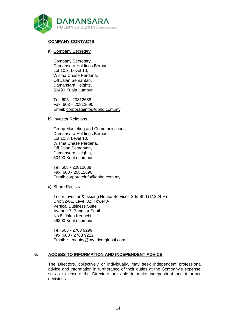

# **COMPANY CONTACTS**

#### a) Company Secretary

Company Secretary Damansara Holdings Berhad Lot 10.3, Level 10, Wisma Chase Perdana, Off Jalan Semantan, Damansara Heights, 50490 Kuala Lumpur.

Tel: 603 - 20812688 Fax: 603 – 20812690 Email: [corporateinfo@dbhd.com.my](mailto:corporateinfo@dbhd.com.my)

b) Investor Relations

Group Marketing and Communications Damansara Holdings Berhad Lot 10.3, Level 10, Wisma Chase Perdana, Off Jalan Semantan, Damansara Heights, 50490 Kuala Lumpur.

Tel: 603 - 20812688 Fax: 603 - 20812690 Email: [corporateinfo@dbhd.com.my](mailto:corporateinfo@dbhd.com.my)

c) Share Registrar

Tricor Investor & Issuing House Services Sdn Bhd (11324-H) Unit 32-01, Level 32, Tower A Vertical Business Suite, Avenue 3, Bangsar South No 8, Jalan Kerinchi 59200 Kuala Lumpur

Tel :603 - 2783 9299 Fax :603 - 2783 9222 Email: is.enquiry@my.tricorglobal.com

# **6. ACCESS TO INFORMATION AND INDEPENDENT ADVICE**

The Directors, collectively or individually, may seek independent professional advice and information in furtherance of their duties at the Company's expense, so as to ensure the Directors are able to make independent and informed decisions.